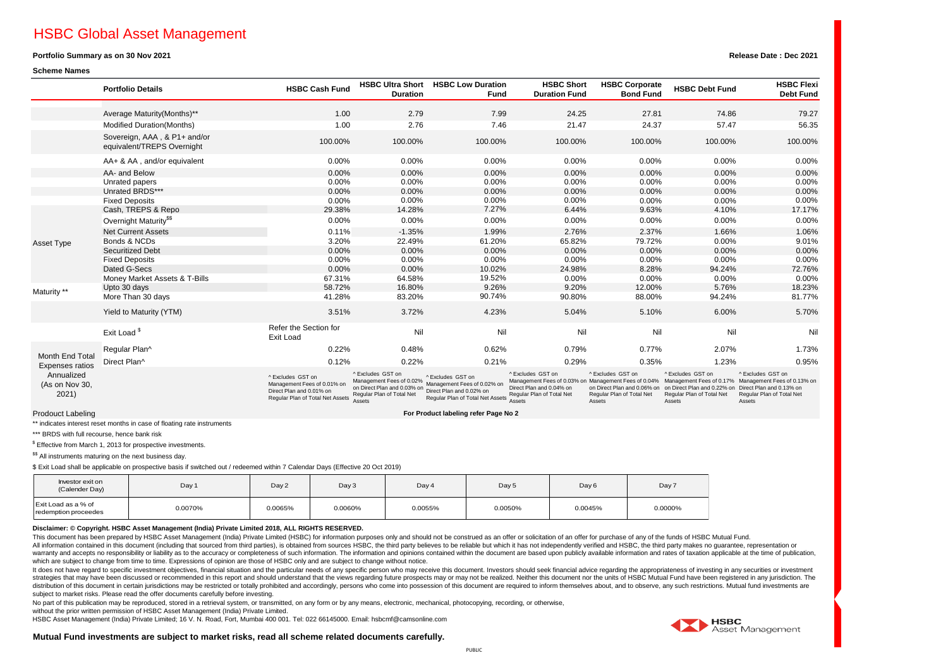# HSBC Global Asset Management

### **Portfolio Summary as on 30 Nov 2021**

#### **Scheme Names**

|                                                                                    | <b>Portfolio Details</b>                                   | <b>HSBC Cash Fund</b>                                                                                            | <b>HSBC Ultra Short</b><br><b>Duration</b>                                                                | <b>HSBC Low Duration</b><br><b>Fund</b>                                                                          | <b>HSBC Short</b><br><b>Duration Fund</b>                                 | <b>HSBC Corporate</b><br><b>Bond Fund</b>                                                    | <b>HSBC Debt Fund</b>                                                                                                     | <b>HSBC Flexi</b><br><b>Debt Fund</b>                                                                                                                       |
|------------------------------------------------------------------------------------|------------------------------------------------------------|------------------------------------------------------------------------------------------------------------------|-----------------------------------------------------------------------------------------------------------|------------------------------------------------------------------------------------------------------------------|---------------------------------------------------------------------------|----------------------------------------------------------------------------------------------|---------------------------------------------------------------------------------------------------------------------------|-------------------------------------------------------------------------------------------------------------------------------------------------------------|
|                                                                                    |                                                            |                                                                                                                  |                                                                                                           |                                                                                                                  |                                                                           |                                                                                              |                                                                                                                           |                                                                                                                                                             |
|                                                                                    | Average Maturity (Months)**                                | 1.00                                                                                                             | 2.79                                                                                                      | 7.99                                                                                                             | 24.25                                                                     | 27.81                                                                                        | 74.86                                                                                                                     | 79.27                                                                                                                                                       |
|                                                                                    | Modified Duration(Months)                                  | 1.00                                                                                                             | 2.76                                                                                                      | 7.46                                                                                                             | 21.47                                                                     | 24.37                                                                                        | 57.47                                                                                                                     | 56.35                                                                                                                                                       |
|                                                                                    | Sovereign, AAA, & P1+ and/or<br>equivalent/TREPS Overnight | 100.00%                                                                                                          | 100.00%                                                                                                   | 100.00%                                                                                                          | 100.00%                                                                   | 100.00%                                                                                      | 100.00%                                                                                                                   | 100.00%                                                                                                                                                     |
|                                                                                    | AA+ & AA, and/or equivalent                                | 0.00%                                                                                                            | 0.00%                                                                                                     | 0.00%                                                                                                            | 0.00%                                                                     | 0.00%                                                                                        | 0.00%                                                                                                                     | $0.00\%$                                                                                                                                                    |
|                                                                                    | AA- and Below                                              | 0.00%                                                                                                            | 0.00%                                                                                                     | 0.00%                                                                                                            | 0.00%                                                                     | 0.00%                                                                                        | 0.00%                                                                                                                     | $0.00\%$                                                                                                                                                    |
|                                                                                    | Unrated papers                                             | 0.00%                                                                                                            | 0.00%                                                                                                     | 0.00%                                                                                                            | 0.00%                                                                     | 0.00%                                                                                        | 0.00%                                                                                                                     | 0.00%                                                                                                                                                       |
|                                                                                    | Unrated BRDS***                                            | 0.00%                                                                                                            | 0.00%                                                                                                     | 0.00%                                                                                                            | 0.00%                                                                     | 0.00%                                                                                        | 0.00%                                                                                                                     | $0.00\%$                                                                                                                                                    |
|                                                                                    | <b>Fixed Deposits</b>                                      | 0.00%                                                                                                            | 0.00%                                                                                                     | 0.00%                                                                                                            | 0.00%                                                                     | 0.00%                                                                                        | 0.00%                                                                                                                     | 0.00%                                                                                                                                                       |
|                                                                                    | Cash, TREPS & Repo                                         | 29.38%                                                                                                           | 14.28%                                                                                                    | 7.27%                                                                                                            | 6.44%                                                                     | 9.63%                                                                                        | 4.10%                                                                                                                     | 17.17%                                                                                                                                                      |
|                                                                                    | Overnight Maturity <sup>\$\$</sup>                         | 0.00%                                                                                                            | 0.00%                                                                                                     | 0.00%                                                                                                            | 0.00%                                                                     | 0.00%                                                                                        | 0.00%                                                                                                                     | 0.00%                                                                                                                                                       |
|                                                                                    | <b>Net Current Assets</b>                                  | 0.11%                                                                                                            | $-1.35%$                                                                                                  | 1.99%                                                                                                            | 2.76%                                                                     | 2.37%                                                                                        | 1.66%                                                                                                                     | 1.06%                                                                                                                                                       |
| <b>Asset Type</b>                                                                  | Bonds & NCDs                                               | 3.20%                                                                                                            | 22.49%                                                                                                    | 61.20%                                                                                                           | 65.82%                                                                    | 79.72%                                                                                       | 0.00%                                                                                                                     | 9.01%                                                                                                                                                       |
|                                                                                    | <b>Securitized Debt</b>                                    | 0.00%                                                                                                            | 0.00%                                                                                                     | 0.00%                                                                                                            | 0.00%                                                                     | 0.00%                                                                                        | 0.00%                                                                                                                     | 0.00%                                                                                                                                                       |
|                                                                                    | <b>Fixed Deposits</b>                                      | 0.00%                                                                                                            | 0.00%                                                                                                     | 0.00%                                                                                                            | 0.00%                                                                     | 0.00%                                                                                        | 0.00%                                                                                                                     | 0.00%                                                                                                                                                       |
|                                                                                    | Dated G-Secs                                               | 0.00%                                                                                                            | 0.00%                                                                                                     | 10.02%                                                                                                           | 24.98%                                                                    | 8.28%                                                                                        | 94.24%                                                                                                                    | 72.76%                                                                                                                                                      |
|                                                                                    | Money Market Assets & T-Bills                              | 67.31%                                                                                                           | 64.58%                                                                                                    | 19.52%                                                                                                           | 0.00%                                                                     | 0.00%                                                                                        | 0.00%                                                                                                                     | $0.00\%$                                                                                                                                                    |
| Maturity **                                                                        | Upto 30 days                                               | 58.72%                                                                                                           | 16.80%                                                                                                    | 9.26%                                                                                                            | 9.20%                                                                     | 12.00%                                                                                       | 5.76%                                                                                                                     | 18.23%                                                                                                                                                      |
|                                                                                    | More Than 30 days                                          | 41.28%                                                                                                           | 83.20%                                                                                                    | 90.74%                                                                                                           | 90.80%                                                                    | 88.00%                                                                                       | 94.24%                                                                                                                    | 81.77%                                                                                                                                                      |
|                                                                                    | Yield to Maturity (YTM)                                    | 3.51%                                                                                                            | 3.72%                                                                                                     | 4.23%                                                                                                            | 5.04%                                                                     | 5.10%                                                                                        | 6.00%                                                                                                                     | 5.70%                                                                                                                                                       |
|                                                                                    | Exit Load <sup>\$</sup>                                    | Refer the Section for<br>Exit Load                                                                               | Nil                                                                                                       | Nil                                                                                                              | Nil                                                                       | Nil                                                                                          | Nil                                                                                                                       | Nil                                                                                                                                                         |
| Month End Total<br><b>Expenses ratios</b><br>Annualized<br>(As on Nov 30,<br>2021) | Regular Plan^                                              | 0.22%                                                                                                            | 0.48%                                                                                                     | 0.62%                                                                                                            | 0.79%                                                                     | 0.77%                                                                                        | 2.07%                                                                                                                     | 1.73%                                                                                                                                                       |
|                                                                                    | Direct Plan^                                               | 0.12%                                                                                                            | 0.22%                                                                                                     | 0.21%                                                                                                            | 0.29%                                                                     | 0.35%                                                                                        | 1.23%                                                                                                                     | 0.95%                                                                                                                                                       |
|                                                                                    |                                                            | ^ Excludes GST on<br>Management Fees of 0.01% on<br>Direct Plan and 0.01% on<br>Regular Plan of Total Net Assets | ^ Excludes GST on<br>Management Fees of 0.02%<br>on Direct Plan and 0.03% on<br>Regular Plan of Total Net | ^ Excludes GST on<br>Management Fees of 0.02% on<br>Direct Plan and 0.02% on<br>Regular Plan of Total Net Assets | ^Excludes GST on<br>Direct Plan and 0.04% on<br>Regular Plan of Total Net | ^ Excludes GST on<br>on Direct Plan and 0.06% on<br>Regular Plan of Total Net<br>$A - - + -$ | ^ Excludes GST on<br>on Direct Plan and 0.22% on Direct Plan and 0.13% on<br>Regular Plan of Total Net<br>$A - - - - - -$ | ^ Excludes GST on<br>Management Fees of 0.03% on Management Fees of 0.04% Management Fees of 0.17% Management Fees of 0.13% on<br>Regular Plan of Total Net |

Prodouct Labeling

\*\* indicates interest reset months in case of floating rate instruments

\*\*\* BRDS with full recourse, hence bank risk

 $$$  Effective from March 1, 2013 for prospective investments.

\$\$ All instruments maturing on the next business day.

\$ Exit Load shall be applicable on prospective basis if switched out / redeemed within 7 Calendar Days (Effective 20 Oct 2019)

| Investor exit on<br>(Calender Day)          | Day 1   | Day 2   | Day 3   | Day 4   | Day 5   | Day 6   | Day 7   |
|---------------------------------------------|---------|---------|---------|---------|---------|---------|---------|
| Exit Load as a % of<br>redemption proceedes | 0.0070% | 0.0065% | 0.0060% | 0.0055% | 0.0050% | 0.0045% | 0.0000% |

Accote

#### **Disclaimer: © Copyright. HSBC Asset Management (India) Private Limited 2018, ALL RIGHTS RESERVED.**

This document has been prepared by HSBC Asset Management (India) Private Limited (HSBC) for information purposes only and should not be construed as an offer or solicitation of an offer for purchase of any of the funds of All information contained in this document (including that sourced from third parties), is obtained from sources HSBC, the third party believes to be reliable but which it has not independently verified and HSBC, the third warranty and accepts no responsibility or liability as to the accuracy or completeness of such information. The information and opinions contained within the document are based upon publicly available information and rates which are subject to change from time to time. Expressions of opinion are those of HSBC only and are subject to change without notice.

t does not have reported the section and the extraged for presenting in and the particular peeds of any specific person who may receive this document. Investors should seek financial advice reparting the appropriateness of strategies that may have been discussed or recommended in this report and should understand that the views regarding future prospects may or may not be realized. Neither this document nor the units of HSBC Mutual Fund have distribution of this document in certain jurisdictions may be restricted or totally prohibited and accordingly, persons who come into possession of this document are required to inform themselves about, and to observe, any subject to market risks. Please read the offer documents carefully before investing.

No part of this publication may be reproduced, stored in a retrieval system, or transmitted, on any form or by any means, electronic, mechanical, photocopying, recording, or otherwise,

without the prior written permission of HSBC Asset Management (India) Private Limited. HSBC Asset Management (India) Private Limited; 16 V. N. Road, Fort, Mumbai 400 001. Tel: 022 66145000. Email: hsbcmf@camsonline.com



## **Release Date : Dec 2021**



Accote

Accote

Accate

**A**ccots

**For Product labeling refer Page No 2**